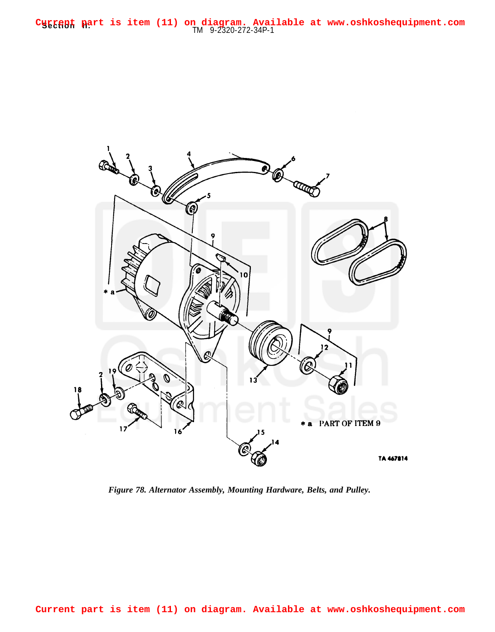**Section part is item (11) on diagram. Avai**<br>TM 9-2320-272-34P-1 **Current part is item (11) on diagram. Available at www.oshkoshequipment.com**



*Figure 78. Alternator Assembly, Mounting Hardware, Belts, and Pulley.*